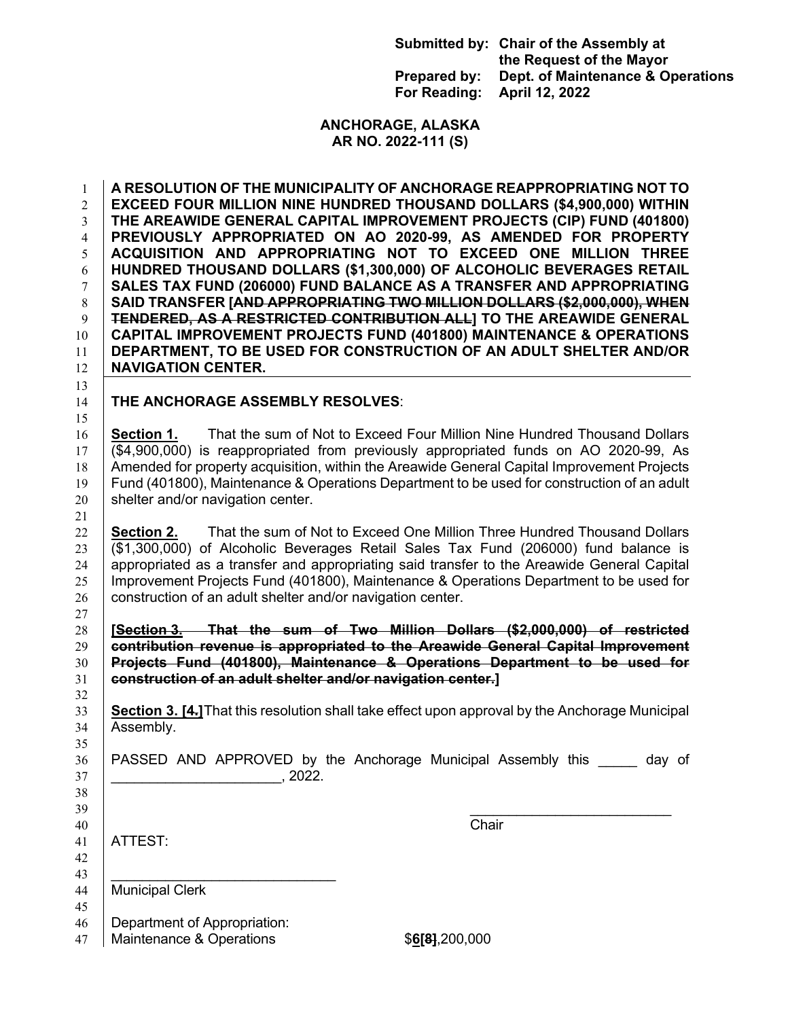|                                             | Submitted by: Chair of the Assembly at<br>the Request of the Mayor |
|---------------------------------------------|--------------------------------------------------------------------|
| Prepared by:<br>For Reading: April 12, 2022 | Dept. of Maintenance & Operations                                  |

## **ANCHORAGE, ALASKA AR NO. 2022-111 (S)**

 **A RESOLUTION OF THE MUNICIPALITY OF ANCHORAGE REAPPROPRIATING NOT TO EXCEED FOUR MILLION NINE HUNDRED THOUSAND DOLLARS (\$4,900,000) WITHIN THE AREAWIDE GENERAL CAPITAL IMPROVEMENT PROJECTS (CIP) FUND (401800) PREVIOUSLY APPROPRIATED ON AO 2020-99, AS AMENDED FOR PROPERTY ACQUISITION AND APPROPRIATING NOT TO EXCEED ONE MILLION THREE HUNDRED THOUSAND DOLLARS (\$1,300,000) OF ALCOHOLIC BEVERAGES RETAIL SALES TAX FUND (206000) FUND BALANCE AS A TRANSFER AND APPROPRIATING**  8 SAID TRANSFER **[AND APPROPRIATING TWO MILLION DOLLARS (\$2,000,000), WHEN TENDERED, AS A RESTRICTED CONTRIBUTION ALL] TO THE AREAWIDE GENERAL CAPITAL IMPROVEMENT PROJECTS FUND (401800) MAINTENANCE & OPERATIONS DEPARTMENT, TO BE USED FOR CONSTRUCTION OF AN ADULT SHELTER AND/OR NAVIGATION CENTER.**

## **THE ANCHORAGE ASSEMBLY RESOLVES**:

 **Section 1.** That the sum of Not to Exceed Four Million Nine Hundred Thousand Dollars (\$4,900,000) is reappropriated from previously appropriated funds on AO 2020-99, As 18 Amended for property acquisition, within the Areawide General Capital Improvement Projects Fund (401800), Maintenance & Operations Department to be used for construction of an adult shelter and/or navigation center.

 **Section 2.** That the sum of Not to Exceed One Million Three Hundred Thousand Dollars (\$1,300,000) of Alcoholic Beverages Retail Sales Tax Fund (206000) fund balance is appropriated as a transfer and appropriating said transfer to the Areawide General Capital 25 | Improvement Projects Fund (401800), Maintenance & Operations Department to be used for construction of an adult shelter and/or navigation center.

 **[Section 3. That the sum of Two Million Dollars (\$2,000,000) of restricted contribution revenue is appropriated to the Areawide General Capital Improvement Projects Fund (401800), Maintenance & Operations Department to be used for construction of an adult shelter and/or navigation center.]**

 **Section 3. [4.]**That this resolution shall take effect upon approval by the Anchorage Municipal 34 | Assembly.

36 | PASSED AND APPROVED by the Anchorage Municipal Assembly this day of  $\Box$  . 2022.

 $39 \mid$ 

ATTEST:

40 Chair

 | 44 | Municipal Clerk

Department of Appropriation:

Maintenance & Operations \$**6[8]**,200,000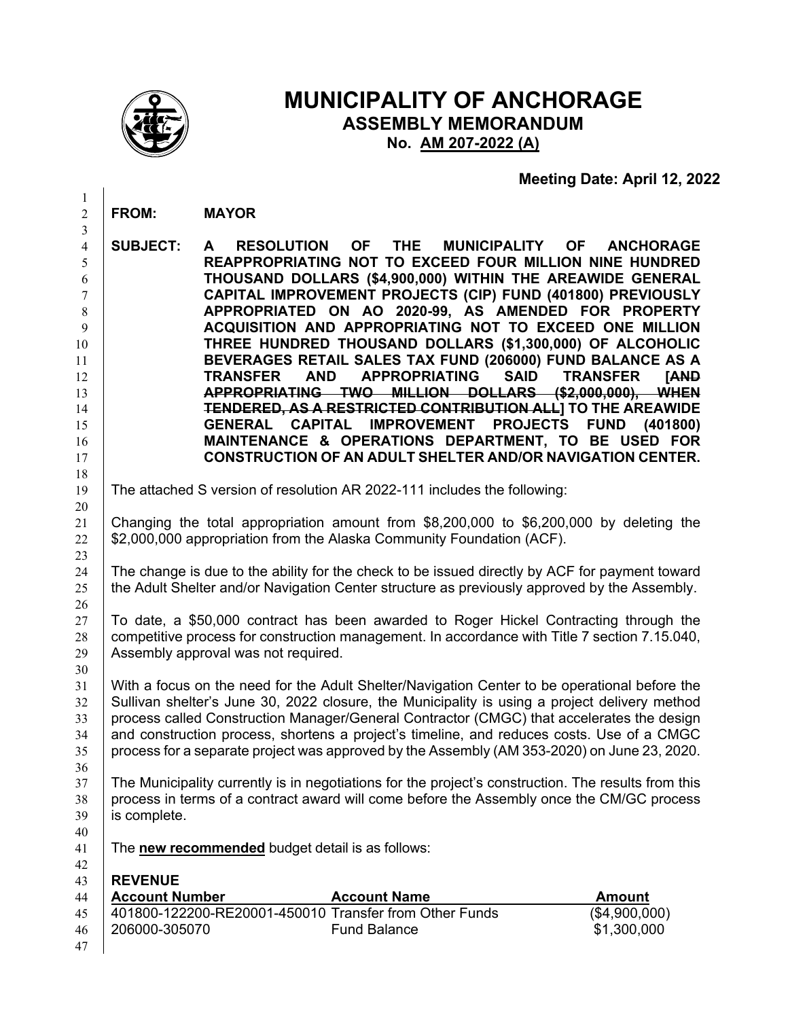

## **MUNICIPALITY OF ANCHORAGE ASSEMBLY MEMORANDUM No. AM 207-2022 (A)**

## **Meeting Date: April 12, 2022**

| $\overline{c}$                                                                                               | <b>FROM:</b>                            | <b>MAYOR</b>                                                                                                                                                                                                                                                                                                                                                                                                                                                                                                                                                                                                                                                                                                                                                                                                                                                                                                                                                                                        |
|--------------------------------------------------------------------------------------------------------------|-----------------------------------------|-----------------------------------------------------------------------------------------------------------------------------------------------------------------------------------------------------------------------------------------------------------------------------------------------------------------------------------------------------------------------------------------------------------------------------------------------------------------------------------------------------------------------------------------------------------------------------------------------------------------------------------------------------------------------------------------------------------------------------------------------------------------------------------------------------------------------------------------------------------------------------------------------------------------------------------------------------------------------------------------------------|
| 3<br>$\overline{\mathcal{L}}$<br>5<br>6<br>7<br>8<br>9<br>10<br>11<br>12<br>13<br>14<br>15<br>16<br>17<br>18 | <b>SUBJECT:</b>                         | <b>OF</b><br>MUNICIPALITY OF<br><b>RESOLUTION</b><br><b>THE</b><br><b>ANCHORAGE</b><br>A<br>REAPPROPRIATING NOT TO EXCEED FOUR MILLION NINE HUNDRED<br>THOUSAND DOLLARS (\$4,900,000) WITHIN THE AREAWIDE GENERAL<br>CAPITAL IMPROVEMENT PROJECTS (CIP) FUND (401800) PREVIOUSLY<br>APPROPRIATED ON AO 2020-99, AS AMENDED FOR PROPERTY<br>ACQUISITION AND APPROPRIATING NOT TO EXCEED ONE MILLION<br>THREE HUNDRED THOUSAND DOLLARS (\$1,300,000) OF ALCOHOLIC<br>BEVERAGES RETAIL SALES TAX FUND (206000) FUND BALANCE AS A<br><b>APPROPRIATING</b><br><b>SAID</b><br><b>TRANSFER</b><br><b>AND</b><br><b>TRANSFER</b><br><b>TAND</b><br>APPROPRIATING TWO MILLION DOLLARS (\$2,000,000), WHEN<br>TENDERED, AS A RESTRICTED CONTRIBUTION ALL] TO THE AREAWIDE<br><b>IMPROVEMENT</b><br><b>PROJECTS</b><br><b>GENERAL</b><br><b>CAPITAL</b><br><b>FUND</b><br>(401800)<br>MAINTENANCE & OPERATIONS DEPARTMENT, TO BE USED FOR<br><b>CONSTRUCTION OF AN ADULT SHELTER AND/OR NAVIGATION CENTER.</b> |
| 19                                                                                                           |                                         | The attached S version of resolution AR 2022-111 includes the following:                                                                                                                                                                                                                                                                                                                                                                                                                                                                                                                                                                                                                                                                                                                                                                                                                                                                                                                            |
| 20<br>21<br>22                                                                                               |                                         | Changing the total appropriation amount from \$8,200,000 to \$6,200,000 by deleting the<br>\$2,000,000 appropriation from the Alaska Community Foundation (ACF).                                                                                                                                                                                                                                                                                                                                                                                                                                                                                                                                                                                                                                                                                                                                                                                                                                    |
| 23<br>24<br>25<br>26                                                                                         |                                         | The change is due to the ability for the check to be issued directly by ACF for payment toward<br>the Adult Shelter and/or Navigation Center structure as previously approved by the Assembly.                                                                                                                                                                                                                                                                                                                                                                                                                                                                                                                                                                                                                                                                                                                                                                                                      |
| 27<br>28<br>29                                                                                               |                                         | To date, a \$50,000 contract has been awarded to Roger Hickel Contracting through the<br>competitive process for construction management. In accordance with Title 7 section 7.15.040,<br>Assembly approval was not required.                                                                                                                                                                                                                                                                                                                                                                                                                                                                                                                                                                                                                                                                                                                                                                       |
| 30<br>31<br>32<br>33<br>34<br>35<br>36                                                                       |                                         | With a focus on the need for the Adult Shelter/Navigation Center to be operational before the<br>Sullivan shelter's June 30, 2022 closure, the Municipality is using a project delivery method<br>process called Construction Manager/General Contractor (CMGC) that accelerates the design<br>and construction process, shortens a project's timeline, and reduces costs. Use of a CMGC<br>process for a separate project was approved by the Assembly (AM 353-2020) on June 23, 2020.                                                                                                                                                                                                                                                                                                                                                                                                                                                                                                             |
| 37<br>38<br>39<br>40                                                                                         | is complete.                            | The Municipality currently is in negotiations for the project's construction. The results from this<br>process in terms of a contract award will come before the Assembly once the CM/GC process                                                                                                                                                                                                                                                                                                                                                                                                                                                                                                                                                                                                                                                                                                                                                                                                    |
| 41                                                                                                           |                                         | The new recommended budget detail is as follows:                                                                                                                                                                                                                                                                                                                                                                                                                                                                                                                                                                                                                                                                                                                                                                                                                                                                                                                                                    |
| 42<br>43<br>44<br>45                                                                                         | <b>REVENUE</b><br><b>Account Number</b> | <b>Account Name</b><br><b>Amount</b><br>401800-122200-RE20001-450010 Transfer from Other Funds<br>(\$4,900,000)                                                                                                                                                                                                                                                                                                                                                                                                                                                                                                                                                                                                                                                                                                                                                                                                                                                                                     |
| 46<br>47                                                                                                     | 206000-305070                           | \$1,300,000<br><b>Fund Balance</b>                                                                                                                                                                                                                                                                                                                                                                                                                                                                                                                                                                                                                                                                                                                                                                                                                                                                                                                                                                  |